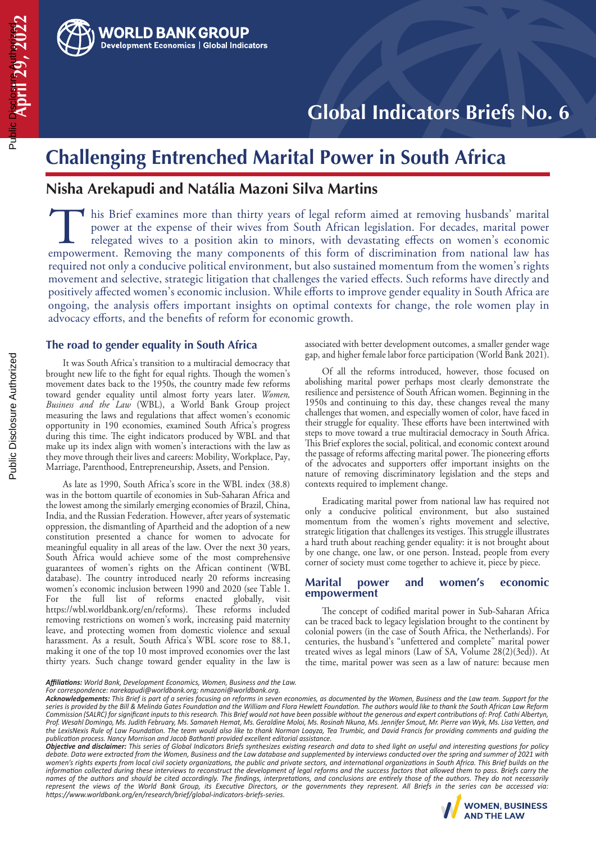

# **Challenging Entrenched Marital Power in South Africa**

# **Nisha Arekapudi and Natália Mazoni Silva Martins**

this Brief examines more than thirty years of legal reform aimed at removing husbands' marital power at the expense of their wives from South African legislation. For decades, marital power relegated wives to a position akin to minors, with devastating effects on women's economic In this Brief examines more than thirty years of legal reform aimed at removing husbands' marital power at the expense of their wives from South African legislation. For decades, marital power relegated wives to a position required not only a conducive political environment, but also sustained momentum from the women's rights movement and selective, strategic litigation that challenges the varied effects. Such reforms have directly and positively affected women's economic inclusion. While efforts to improve gender equality in South Africa are ongoing, the analysis offers important insights on optimal contexts for change, the role women play in advocacy efforts, and the benefits of reform for economic growth.

# **The road to gender equality in South Africa**

 It was South Africa's transition to a multiracial democracy that brought new life to the fight for equal rights. Though the women's movement dates back to the 1950s, the country made few reforms toward gender equality until almost forty years later. *Women, Business and the Law* (WBL), a World Bank Group project measuring the laws and regulations that affect women's economic opportunity in 190 economies, examined South Africa's progress during this time. The eight indicators produced by WBL and that make up its index align with women's interactions with the law as they move through their lives and careers: Mobility, Workplace, Pay, Marriage, Parenthood, Entrepreneurship, Assets, and Pension.

 As late as 1990, South Africa's score in the WBL index (38.8) was in the bottom quartile of economies in Sub-Saharan Africa and the lowest among the similarly emerging economies of Brazil, China, India, and the Russian Federation. However, after years of systematic oppression, the dismantling of Apartheid and the adoption of a new constitution presented a chance for women to advocate for meaningful equality in all areas of the law. Over the next 30 years, South Africa would achieve some of the most comprehensive guarantees of women's rights on the African continent (WBL database). The country introduced nearly 20 reforms increasing women's economic inclusion between 1990 and 2020 (see Table 1. For the full list of reforms enacted globally, visit https://wbl.worldbank.org/en/reforms). These reforms included removing restrictions on women's work, increasing paid maternity leave, and protecting women from domestic violence and sexual harassment. As a result, South Africa's WBL score rose to 88.1, making it one of the top 10 most improved economies over the last thirty years. Such change toward gender equality in the law is

associated with better development outcomes, a smaller gender wage gap, and higher female labor force participation (World Bank 2021).

 Of all the reforms introduced, however, those focused on abolishing marital power perhaps most clearly demonstrate the resilience and persistence of South African women. Beginning in the 1950s and continuing to this day, these changes reveal the many challenges that women, and especially women of color, have faced in their struggle for equality. These efforts have been intertwined with steps to move toward a true multiracial democracy in South Africa. This Brief explores the social, political, and economic context around the passage of reforms affecting marital power. The pioneering efforts of the advocates and supporters offer important insights on the nature of removing discriminatory legislation and the steps and contexts required to implement change.

 Eradicating marital power from national law has required not only a conducive political environment, but also sustained momentum from the women's rights movement and selective, strategic litigation that challenges its vestiges. This struggle illustrates a hard truth about reaching gender equality: it is not brought about by one change, one law, or one person. Instead, people from every corner of society must come together to achieve it, piece by piece.

#### **Marital power and women's economic empowerment**

The concept of codified marital power in Sub-Saharan Africa can be traced back to legacy legislation brought to the continent by colonial powers (in the case of South Africa, the Netherlands). For centuries, the husband's "unfettered and complete" marital power treated wives as legal minors (Law of SA, Volume 28(2)(3ed)). At the time, marital power was seen as a law of nature: because men

publication process. Nancy Morrison and Jacob Bathanti provided excellent editorial assistance.<br>**Objective and disclaimer:** This series of Global Indicators Briefs synthesizes existing research and data to shed light on us *debate. Data were extracted from the Women, Business and the Law database and supplemented by interviews conducted over the spring and summer of 2021 with*  women's rights experts from local civil society organizations, the public and private sectors, and international organizations in South Africa. This Brief builds on the *information collected during these interviews to reconstruct the development of legal reforms and the success factors that allowed them to pass. Briefs carry the*  names of the authors and should be cited accordingly. The findings, interpretations, and conclusions are entirely those of the authors. They do not necessarily *represent the views of the World Bank Group, its Executive Directors, or the governments they represent. All Briefs in the series can be accessed via: https://www.worldbank.org/en/research/brief/global-indicators-briefs-series.* https://www.worldbank.org/en/research/brief/global-indicators-briefs-series.



**April 29, 2022**

Public Disclosure Authorized

<sup>c</sup> Pisclosur 29. 2022

*Affiliations: World Bank, Development Economics, Women, Business and the Law. For correspondence: narekapudi@worldbank.org; nmazoni@worldbank.org.*

*Acknowledgements: This Brief is part of a series focusing on reforms in seven economies, as documented by the Women, Business and the Law team. Support for the series is provided by the Bill & Melinda Gates Foundation and the William and Flora Hewlett Foundation. The authors would like to thank the South African Law Reform Commission (SALRC) for significant inputs to this research. This Brief would not have been possible without the generous and expert contributions of: Prof. Cathi Albertyn, Prof. Wesahl Domingo, Ms. Judith February, Ms. Samaneh Hemat, Ms. Geraldine Moloi, Ms. Rosinah Nkuna, Ms. Jennifer Smout, Mr. Pierre van Wyk, Ms. Lisa Vetten, and the LexisNexis Rule of Law Foundation. The team would also like to thank Norman Loayza, Tea Trumbic, and David Francis for providing comments and guiding the*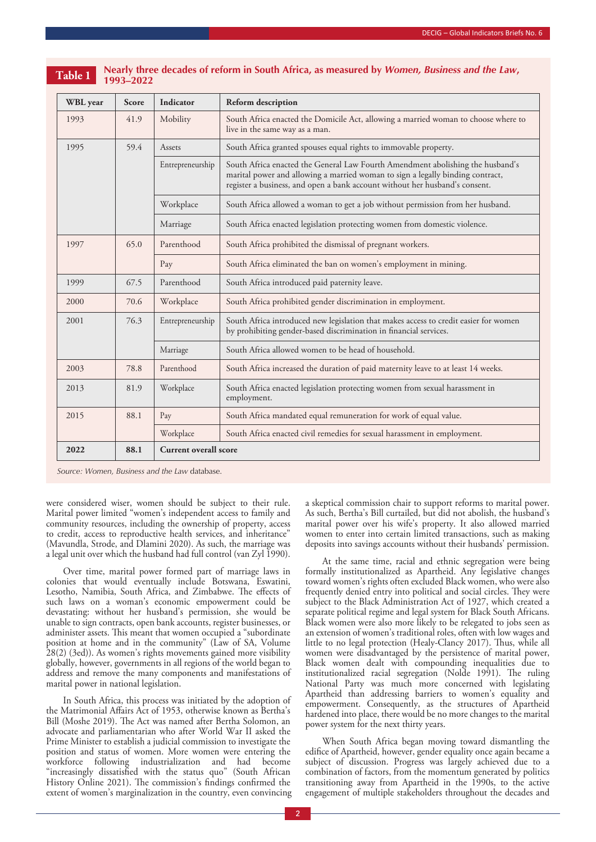| <b>WBL</b> year | <b>Score</b> | Indicator                    | Reform description                                                                                                                                                                                                                              |  |
|-----------------|--------------|------------------------------|-------------------------------------------------------------------------------------------------------------------------------------------------------------------------------------------------------------------------------------------------|--|
| 1993            | 41.9         | Mobility                     | South Africa enacted the Domicile Act, allowing a married woman to choose where to<br>live in the same way as a man.                                                                                                                            |  |
| 1995            | 59.4         |                              | South Africa granted spouses equal rights to immovable property.                                                                                                                                                                                |  |
|                 |              | Entrepreneurship             | South Africa enacted the General Law Fourth Amendment abolishing the husband's<br>marital power and allowing a married woman to sign a legally binding contract,<br>register a business, and open a bank account without her husband's consent. |  |
|                 |              | Workplace                    | South Africa allowed a woman to get a job without permission from her husband.                                                                                                                                                                  |  |
|                 |              | Marriage                     | South Africa enacted legislation protecting women from domestic violence.                                                                                                                                                                       |  |
| 1997            | 65.0         | Parenthood                   | South Africa prohibited the dismissal of pregnant workers.                                                                                                                                                                                      |  |
|                 |              | Pay                          | South Africa eliminated the ban on women's employment in mining.                                                                                                                                                                                |  |
| 1999            | 67.5         | Parenthood                   | South Africa introduced paid paternity leave.                                                                                                                                                                                                   |  |
| 2000            | 70.6         | Workplace                    | South Africa prohibited gender discrimination in employment.                                                                                                                                                                                    |  |
| 2001            | 76.3         | Entrepreneurship             | South Africa introduced new legislation that makes access to credit easier for women<br>by prohibiting gender-based discrimination in financial services.                                                                                       |  |
|                 |              | Marriage                     | South Africa allowed women to be head of household.                                                                                                                                                                                             |  |
| 2003            | 78.8         | Parenthood                   | South Africa increased the duration of paid maternity leave to at least 14 weeks.                                                                                                                                                               |  |
| 2013            | 81.9         | Workplace                    | South Africa enacted legislation protecting women from sexual harassment in<br>employment.                                                                                                                                                      |  |
| 2015            | 88.1         | Pay                          | South Africa mandated equal remuneration for work of equal value.                                                                                                                                                                               |  |
|                 |              | Workplace                    | South Africa enacted civil remedies for sexual harassment in employment.                                                                                                                                                                        |  |
| 2022            | 88.1         | <b>Current overall score</b> |                                                                                                                                                                                                                                                 |  |

**Table 1 Nearly three decades of reform in South Africa, as measured by** *Women, Business and the Law***, 1993–2022**

*Source: Women, Business and the Law* database.

were considered wiser, women should be subject to their rule. Marital power limited "women's independent access to family and community resources, including the ownership of property, access to credit, access to reproductive health services, and inheritance" (Mavundla, Strode, and Dlamini 2020). As such, the marriage was a legal unit over which the husband had full control (van Zyl 1990).

 Over time, marital power formed part of marriage laws in colonies that would eventually include Botswana, Eswatini, Lesotho, Namibia, South Africa, and Zimbabwe. The effects of such laws on a woman's economic empowerment could be devastating: without her husband's permission, she would be unable to sign contracts, open bank accounts, register businesses, or administer assets. This meant that women occupied a "subordinate" position at home and in the community" (Law of SA, Volume 28(2) (3ed)). As women's rights movements gained more visibility globally, however, governments in all regions of the world began to address and remove the many components and manifestations of marital power in national legislation.

 In South Africa, this process was initiated by the adoption of the Matrimonial Affairs Act of 1953, otherwise known as Bertha's Bill (Moshe 2019). The Act was named after Bertha Solomon, an advocate and parliamentarian who after World War II asked the Prime Minister to establish a judicial commission to investigate the position and status of women. More women were entering the workforce following industrialization and had become "increasingly dissatisfied with the status quo" (South African History Online 2021). The commission's findings confirmed the extent of women's marginalization in the country, even convincing a skeptical commission chair to support reforms to marital power. As such, Bertha's Bill curtailed, but did not abolish, the husband's marital power over his wife's property. It also allowed married women to enter into certain limited transactions, such as making deposits into savings accounts without their husbands' permission.

 At the same time, racial and ethnic segregation were being formally institutionalized as Apartheid. Any legislative changes toward women's rights often excluded Black women, who were also frequently denied entry into political and social circles. They were subject to the Black Administration Act of 1927, which created a separate political regime and legal system for Black South Africans. Black women were also more likely to be relegated to jobs seen as an extension of women's traditional roles, often with low wages and little to no legal protection (Healy-Clancy 2017). Thus, while all women were disadvantaged by the persistence of marital power, Black women dealt with compounding inequalities due to institutionalized racial segregation (Nolde 1991). The ruling National Party was much more concerned with legislating Apartheid than addressing barriers to women's equality and empowerment. Consequently, as the structures of Apartheid hardened into place, there would be no more changes to the marital power system for the next thirty years.

 When South Africa began moving toward dismantling the edifice of Apartheid, however, gender equality once again became a subject of discussion. Progress was largely achieved due to a combination of factors, from the momentum generated by politics transitioning away from Apartheid in the 1990s, to the active engagement of multiple stakeholders throughout the decades and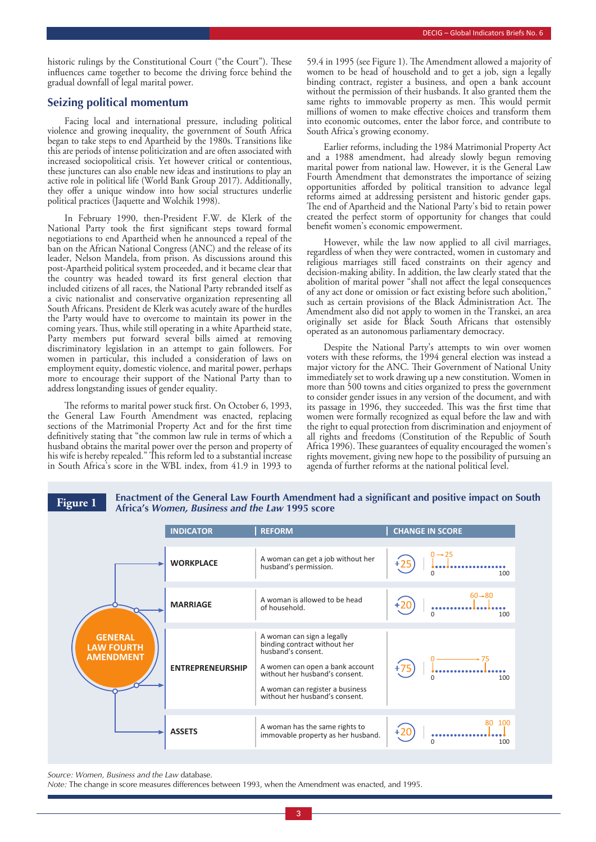historic rulings by the Constitutional Court ("the Court"). These influences came together to become the driving force behind the gradual downfall of legal marital power.

### **Seizing political momentum**

 Facing local and international pressure, including political violence and growing inequality, the government of South Africa began to take steps to end Apartheid by the 1980s. Transitions like this are periods of intense politicization and are often associated with increased sociopolitical crisis. Yet however critical or contentious, these junctures can also enable new ideas and institutions to play an active role in political life (World Bank Group 2017). Additionally, they offer a unique window into how social structures underlie political practices (Jaquette and Wolchik 1998).

 In February 1990, then-President F.W. de Klerk of the National Party took the first significant steps toward formal negotiations to end Apartheid when he announced a repeal of the ban on the African National Congress (ANC) and the release of its leader, Nelson Mandela, from prison. As discussions around this post-Apartheid political system proceeded, and it became clear that the country was headed toward its first general election that included citizens of all races, the National Party rebranded itself as a civic nationalist and conservative organization representing all South Africans. President de Klerk was acutely aware of the hurdles the Party would have to overcome to maintain its power in the coming years. Thus, while still operating in a white Apartheid state, Party members put forward several bills aimed at removing discriminatory legislation in an attempt to gain followers. For women in particular, this included a consideration of laws on employment equity, domestic violence, and marital power, perhaps more to encourage their support of the National Party than to address longstanding issues of gender equality.

The reforms to marital power stuck first. On October 6, 1993, the General Law Fourth Amendment was enacted, replacing sections of the Matrimonial Property Act and for the first time definitively stating that "the common law rule in terms of which a husband obtains the marital power over the person and property of his wife is hereby repealed." This reform led to a substantial increase in South Africa's score in the WBL index, from 41.9 in 1993 to

59.4 in 1995 (see Figure 1). The Amendment allowed a majority of women to be head of household and to get a job, sign a legally binding contract, register a business, and open a bank account without the permission of their husbands. It also granted them the same rights to immovable property as men. This would permit millions of women to make effective choices and transform them into economic outcomes, enter the labor force, and contribute to South Africa's growing economy.

 Earlier reforms, including the 1984 Matrimonial Property Act and a 1988 amendment, had already slowly begun removing marital power from national law. However, it is the General Law Fourth Amendment that demonstrates the importance of seizing opportunities afforded by political transition to advance legal reforms aimed at addressing persistent and historic gender gaps. The end of Apartheid and the National Party's bid to retain power created the perfect storm of opportunity for changes that could benefit women's economic empowerment.

 However, while the law now applied to all civil marriages, regardless of when they were contracted, women in customary and religious marriages still faced constraints on their agency and decision-making ability. In addition, the law clearly stated that the abolition of marital power "shall not affect the legal consequences of any act done or omission or fact existing before such abolition," such as certain provisions of the Black Administration Act. The Amendment also did not apply to women in the Transkei, an area originally set aside for Black South Africans that ostensibly operated as an autonomous parliamentary democracy.

 Despite the National Party's attempts to win over women voters with these reforms, the 1994 general election was instead a major victory for the ANC. Their Government of National Unity immediately set to work drawing up a new constitution. Women in more than 500 towns and cities organized to press the government to consider gender issues in any version of the document, and with its passage in 1996, they succeeded. This was the first time that women were formally recognized as equal before the law and with the right to equal protection from discrimination and enjoyment of all rights and freedoms (Constitution of the Republic of South Africa 1996). These guarantees of equality encouraged the women's rights movement, giving new hope to the possibility of pursuing an agenda of further reforms at the national political level.

### **Figure 1 Enactment of the General Law Fourth Amendment had a significant and positive impact on South Africa's** *Women, Business and the Law* **1995 score**

|                                                         | <b>INDICATOR</b>        | <b>REFORM</b>                                                                                                                                                                                                              | <b>CHANGE IN SCORE</b>                |
|---------------------------------------------------------|-------------------------|----------------------------------------------------------------------------------------------------------------------------------------------------------------------------------------------------------------------------|---------------------------------------|
|                                                         | <b>WORKPLACE</b>        | A woman can get a job without her<br>husband's permission.                                                                                                                                                                 | $0 \rightarrow 25$<br>$\Omega$<br>100 |
|                                                         | <b>MARRIAGE</b>         | A woman is allowed to be head<br>of household.                                                                                                                                                                             | $60 + 80$<br>$\Omega$<br>100          |
| <b>GENERAL</b><br><b>LAW FOURTH</b><br><b>AMENDMENT</b> | <b>ENTREPRENEURSHIP</b> | A woman can sign a legally<br>binding contract without her<br>husband's consent.<br>A women can open a bank account<br>without her husband's consent.<br>A woman can register a business<br>without her husband's consent. | 100                                   |
|                                                         | <b>ASSETS</b>           | A woman has the same rights to<br>immovable property as her husband.                                                                                                                                                       | 80 100<br>100                         |

*Source: Women, Business and the Law* database.

*Note:* The change in score measures differences between 1993, when the Amendment was enacted, and 1995.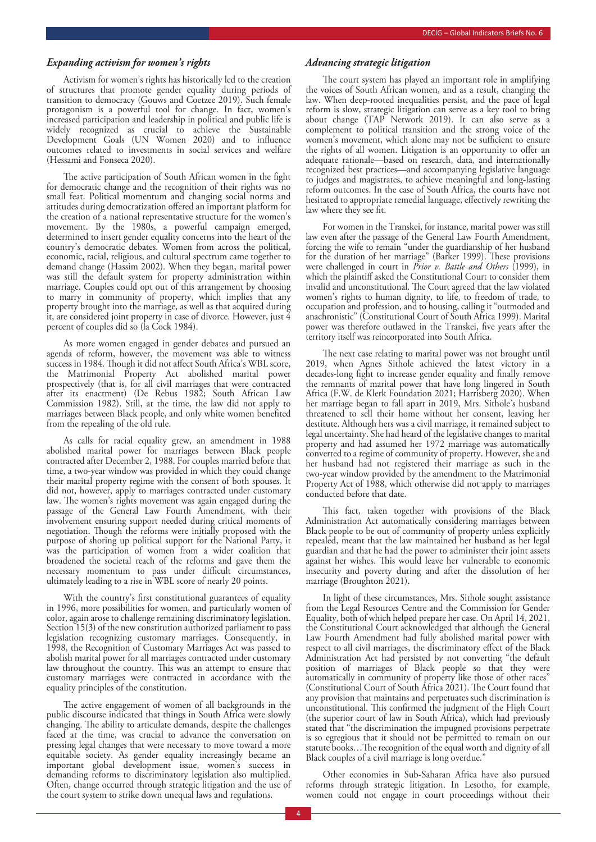#### *Expanding activism for women's rights*

 Activism for women's rights has historically led to the creation of structures that promote gender equality during periods of transition to democracy (Gouws and Coetzee 2019). Such female protagonism is a powerful tool for change. In fact, women's increased participation and leadership in political and public life is widely recognized as crucial to achieve the Sustainable Development Goals (UN Women 2020) and to influence outcomes related to investments in social services and welfare (Hessami and Fonseca 2020).

The active participation of South African women in the fight for democratic change and the recognition of their rights was no small feat. Political momentum and changing social norms and attitudes during democratization offered an important platform for the creation of a national representative structure for the women's movement. By the 1980s, a powerful campaign emerged, determined to insert gender equality concerns into the heart of the country's democratic debates. Women from across the political, economic, racial, religious, and cultural spectrum came together to demand change (Hassim 2002). When they began, marital power was still the default system for property administration within marriage. Couples could opt out of this arrangement by choosing to marry in community of property, which implies that any property brought into the marriage, as well as that acquired during it, are considered joint property in case of divorce. However, just 4 percent of couples did so (la Cock 1984).

 As more women engaged in gender debates and pursued an agenda of reform, however, the movement was able to witness success in 1984. Though it did not affect South Africa's WBL score, the Matrimonial Property Act abolished marital power prospectively (that is, for all civil marriages that were contracted after its enactment) (De Rebus 1982; South African Law Commission 1982). Still, at the time, the law did not apply to marriages between Black people, and only white women benefited from the repealing of the old rule.

 As calls for racial equality grew, an amendment in 1988 abolished marital power for marriages between Black people contracted after December 2, 1988. For couples married before that time, a two-year window was provided in which they could change their marital property regime with the consent of both spouses. It did not, however, apply to marriages contracted under customary law. The women's rights movement was again engaged during the passage of the General Law Fourth Amendment, with their involvement ensuring support needed during critical moments of negotiation. Though the reforms were initially proposed with the purpose of shoring up political support for the National Party, it was the participation of women from a wider coalition that broadened the societal reach of the reforms and gave them the necessary momentum to pass under difficult circumstances, ultimately leading to a rise in WBL score of nearly 20 points.

With the country's first constitutional guarantees of equality in 1996, more possibilities for women, and particularly women of color, again arose to challenge remaining discriminatory legislation. Section 15(3) of the new constitution authorized parliament to pass legislation recognizing customary marriages. Consequently, in 1998, the Recognition of Customary Marriages Act was passed to abolish marital power for all marriages contracted under customary law throughout the country. This was an attempt to ensure that customary marriages were contracted in accordance with the equality principles of the constitution.

The active engagement of women of all backgrounds in the public discourse indicated that things in South Africa were slowly changing. The ability to articulate demands, despite the challenges faced at the time, was crucial to advance the conversation on pressing legal changes that were necessary to move toward a more equitable society. As gender equality increasingly became an important global development issue, women's success in demanding reforms to discriminatory legislation also multiplied. Often, change occurred through strategic litigation and the use of the court system to strike down unequal laws and regulations.

#### *Advancing strategic litigation*

The court system has played an important role in amplifying the voices of South African women, and as a result, changing the law. When deep-rooted inequalities persist, and the pace of legal reform is slow, strategic litigation can serve as a key tool to bring about change (TAP Network 2019). It can also serve as a complement to political transition and the strong voice of the women's movement, which alone may not be sufficient to ensure the rights of all women. Litigation is an opportunity to offer an adequate rationale—based on research, data, and internationally recognized best practices—and accompanying legislative language to judges and magistrates, to achieve meaningful and long-lasting reform outcomes. In the case of South Africa, the courts have not hesitated to appropriate remedial language, effectively rewriting the law where they see fit.

 For women in the Transkei, for instance, marital power was still law even after the passage of the General Law Fourth Amendment, forcing the wife to remain "under the guardianship of her husband for the duration of her marriage" (Barker 1999). These provisions were challenged in court in *Prior v. Battle and Others* (1999), in which the plaintiff asked the Constitutional Court to consider them invalid and unconstitutional. The Court agreed that the law violated women's rights to human dignity, to life, to freedom of trade, to occupation and profession, and to housing, calling it "outmoded and anachronistic" (Constitutional Court of South Africa 1999). Marital power was therefore outlawed in the Transkei, five years after the territory itself was reincorporated into South Africa.

The next case relating to marital power was not brought until 2019, when Agnes Sithole achieved the latest victory in a decades-long fight to increase gender equality and finally remove the remnants of marital power that have long lingered in South Africa (F.W. de Klerk Foundation 2021; Harrisberg 2020). When her marriage began to fall apart in 2019, Mrs. Sithole's husband threatened to sell their home without her consent, leaving her destitute. Although hers was a civil marriage, it remained subject to legal uncertainty. She had heard of the legislative changes to marital property and had assumed her 1972 marriage was automatically converted to a regime of community of property. However, she and her husband had not registered their marriage as such in the two-year window provided by the amendment to the Matrimonial Property Act of 1988, which otherwise did not apply to marriages conducted before that date.

This fact, taken together with provisions of the Black Administration Act automatically considering marriages between Black people to be out of community of property unless explicitly repealed, meant that the law maintained her husband as her legal guardian and that he had the power to administer their joint assets against her wishes. This would leave her vulnerable to economic insecurity and poverty during and after the dissolution of her marriage (Broughton 2021).

 In light of these circumstances, Mrs. Sithole sought assistance from the Legal Resources Centre and the Commission for Gender Equality, both of which helped prepare her case. On April 14, 2021, the Constitutional Court acknowledged that although the General Law Fourth Amendment had fully abolished marital power with respect to all civil marriages, the discriminatory effect of the Black Administration Act had persisted by not converting "the default position of marriages of Black people so that they were automatically in community of property like those of other races" (Constitutional Court of South Africa 2021). The Court found that any provision that maintains and perpetuates such discrimination is unconstitutional. This confirmed the judgment of the High Court (the superior court of law in South Africa), which had previously stated that "the discrimination the impugned provisions perpetrate is so egregious that it should not be permitted to remain on our statute books...The recognition of the equal worth and dignity of all Black couples of a civil marriage is long overdue."

 Other economies in Sub-Saharan Africa have also pursued reforms through strategic litigation. In Lesotho, for example, women could not engage in court proceedings without their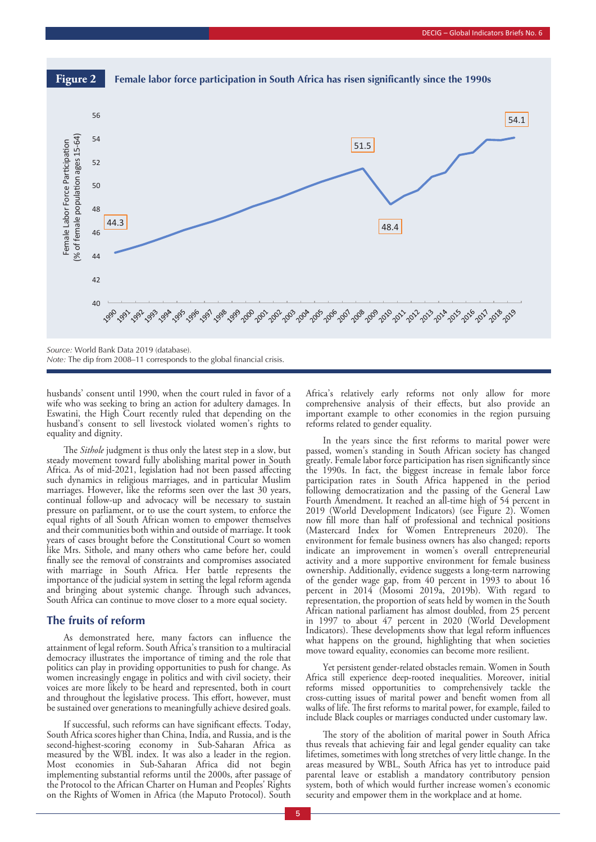

*Note:* The dip from 2008–11 corresponds to the global financial crisis.

husbands' consent until 1990, when the court ruled in favor of a wife who was seeking to bring an action for adultery damages. In Eswatini, the High Court recently ruled that depending on the husband's consent to sell livestock violated women's rights to equality and dignity.

The *Sithole* judgment is thus only the latest step in a slow, but steady movement toward fully abolishing marital power in South Africa. As of mid-2021, legislation had not been passed affecting such dynamics in religious marriages, and in particular Muslim marriages. However, like the reforms seen over the last 30 years, continual follow-up and advocacy will be necessary to sustain pressure on parliament, or to use the court system, to enforce the equal rights of all South African women to empower themselves and their communities both within and outside of marriage. It took years of cases brought before the Constitutional Court so women like Mrs. Sithole, and many others who came before her, could finally see the removal of constraints and compromises associated with marriage in South Africa. Her battle represents the importance of the judicial system in setting the legal reform agenda and bringing about systemic change. Through such advances, South Africa can continue to move closer to a more equal society.

#### **The fruits of reform**

As demonstrated here, many factors can influence the attainment of legal reform. South Africa's transition to a multiracial democracy illustrates the importance of timing and the role that politics can play in providing opportunities to push for change. As women increasingly engage in politics and with civil society, their voices are more likely to be heard and represented, both in court and throughout the legislative process. This effort, however, must be sustained over generations to meaningfully achieve desired goals.

If successful, such reforms can have significant effects. Today, South Africa scores higher than China, India, and Russia, and is the second-highest-scoring economy in Sub-Saharan Africa as measured by the WBL index. It was also a leader in the region. Most economies in Sub-Saharan Africa did not begin implementing substantial reforms until the 2000s, after passage of the Protocol to the African Charter on Human and Peoples' Rights on the Rights of Women in Africa (the Maputo Protocol). South Africa's relatively early reforms not only allow for more comprehensive analysis of their effects, but also provide an important example to other economies in the region pursuing reforms related to gender equality.

In the years since the first reforms to marital power were passed, women's standing in South African society has changed greatly. Female labor force participation has risen significantly since the 1990s. In fact, the biggest increase in female labor force participation rates in South Africa happened in the period following democratization and the passing of the General Law Fourth Amendment. It reached an all-time high of 54 percent in 2019 (World Development Indicators) (see Figure 2). Women now fill more than half of professional and technical positions (Mastercard Index for Women Entrepreneurs  $2020$ ). The environment for female business owners has also changed; reports indicate an improvement in women's overall entrepreneurial activity and a more supportive environment for female business ownership. Additionally, evidence suggests a long-term narrowing of the gender wage gap, from 40 percent in 1993 to about 16 percent in 2014 (Mosomi 2019a, 2019b). With regard to representation, the proportion of seats held by women in the South African national parliament has almost doubled, from 25 percent in 1997 to about 47 percent in 2020 (World Development Indicators). These developments show that legal reform influences what happens on the ground, highlighting that when societies move toward equality, economies can become more resilient.

 Yet persistent gender-related obstacles remain. Women in South Africa still experience deep-rooted inequalities. Moreover, initial reforms missed opportunities to comprehensively tackle the cross-cutting issues of marital power and benefit women from all walks of life. The first reforms to marital power, for example, failed to include Black couples or marriages conducted under customary law.

The story of the abolition of marital power in South Africa thus reveals that achieving fair and legal gender equality can take lifetimes, sometimes with long stretches of very little change. In the areas measured by WBL, South Africa has yet to introduce paid parental leave or establish a mandatory contributory pension system, both of which would further increase women's economic security and empower them in the workplace and at home.